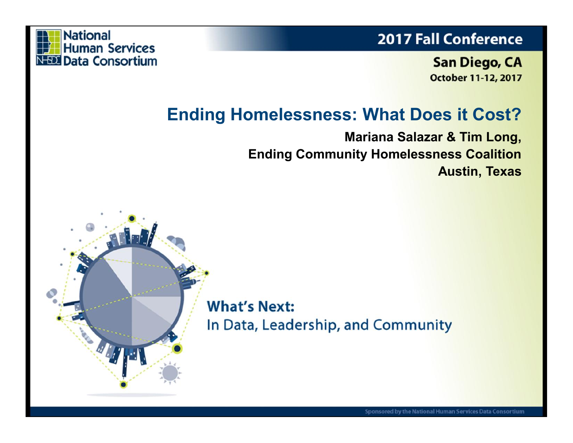### **2017 Fall Conference**



**San Diego, CA October 11-12, 2017** 

### **Ending Homelessness: What Does it Cost?**

**Mariana Salazar & Tim Long, Ending Community Homelessness Coalition Austin, Texas**

**What's Next:** In Data, Leadership, and Community

Sponsored by the National Human Services Data Consortium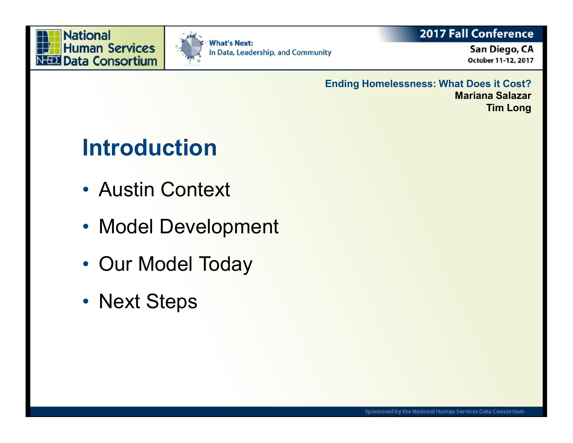



### **2017 Fall Conference**

San Diego, CA October 11-12, 2017

**Ending Homelessness: What Does it Cost? Mariana Salazar Tim Long**

# **Introduction**

- Austin Context
- Model Development
- Our Model Today
- Next Steps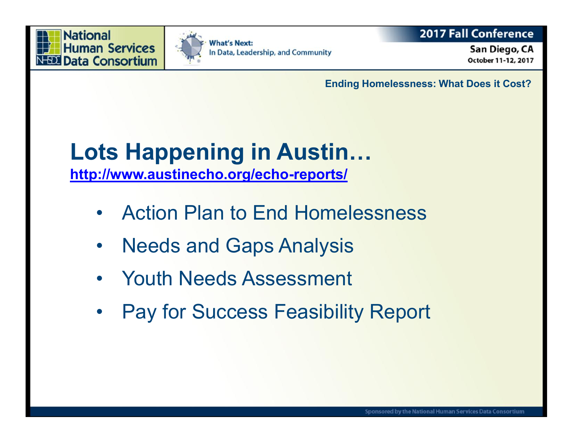Ending Homelessness: What Do

Lots Happening in Austin & http://www.austinechor.opg/resho

- " Action Plan to End Homelessn
- " Needs and Gaps Analysis
- " Youth Needs Assessment
- " Pay for Success Feasibility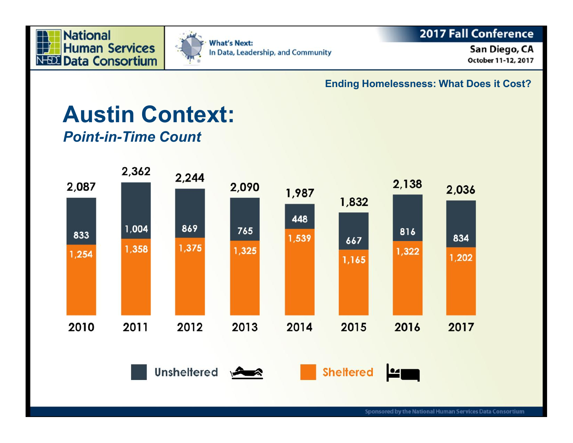



### 2017 Fall Conference

San Diego, CA October 11-12, 2017

**Ending Homelessness: What Does it Cost?**

### **Austin Context:** *Point-in-Time Count*

2,362 2,244 2,138 2,087 2,090 2,036 1,987 1,832 448 869 1,004 765 816 833 1,539 834 667 1.375 1,358 1,325 1,322 1,254 1,202 1,165 2011 2017 2010 2012 2013 2014 2015 2016 Unsheltered **Sheltered**  $\frac{1}{2}$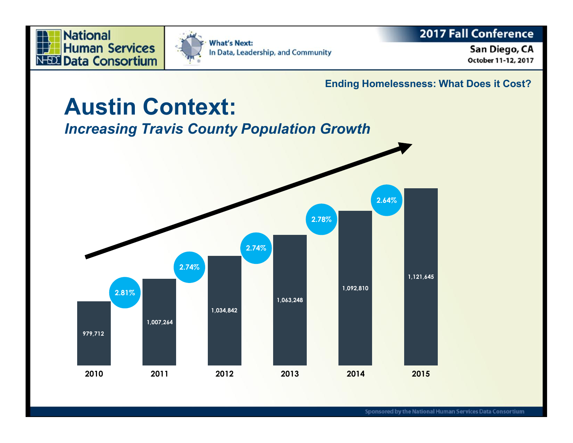



### 2017 Fall Conference

San Diego, CA October 11-12, 2017

**Ending Homelessness: What Does it Cost?**

### **Austin Context:** *Increasing Travis County Population Growth* **2010 979,712 2011 1,007,264 2012 1,034,842 2013 1,063,248 2014 1,092,810 2015 1,121,645 2.81% 2.74% 2.74% 2.78% 2.64%**

Sponsored by the National Human Services Data Consortium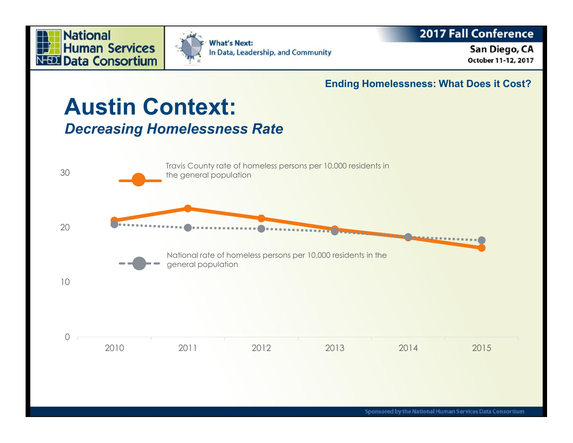



### 2017 Fall Conference

#### San Diego, CA October 11-12, 2017

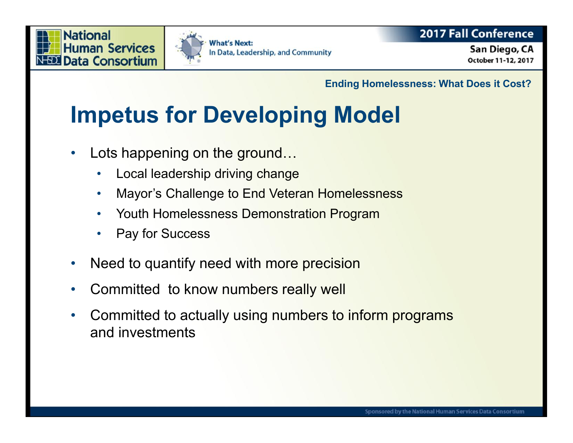



### **2017 Fall Conference**

San Diego, CA October 11-12, 2017

**Ending Homelessness: What Does it Cost?**

# **Impetus for Developing Model**

- Lots happening on the ground...
	- Local leadership driving change
	- Mayor's Challenge to End Veteran Homelessness
	- Youth Homelessness Demonstration Program
	- Pay for Success
- Need to quantify need with more precision
- Committed to know numbers really well
- Committed to actually using numbers to inform programs and investments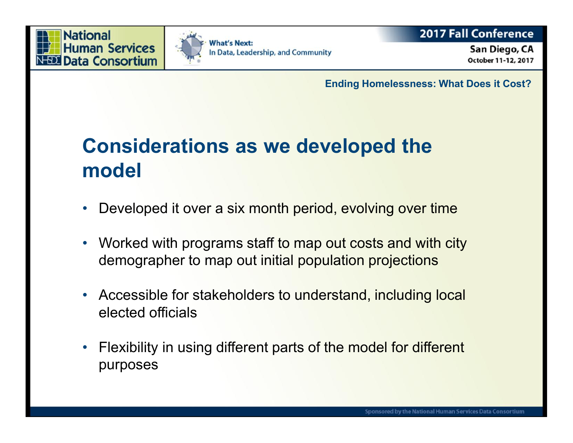



### **2017 Fall Conference**

San Diego, CA October 11-12, 2017

**Ending Homelessness: What Does it Cost?**

## **Considerations as we developed the model**

- Developed it over a six month period, evolving over time
- Worked with programs staff to map out costs and with city demographer to map out initial population projections
- Accessible for stakeholders to understand, including local elected officials
- Flexibility in using different parts of the model for different purposes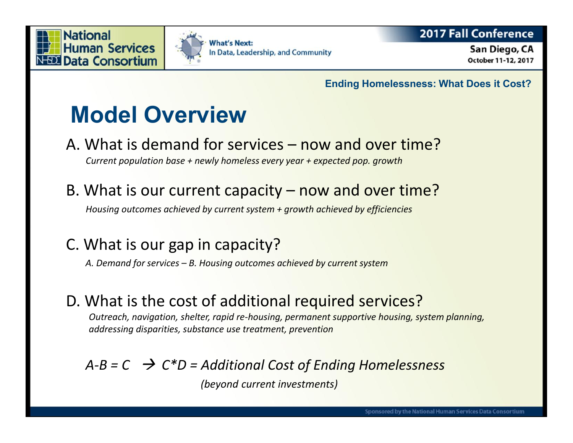



### **2017 Fall Conference**

San Diego, CA October 11-12, 2017

**Ending Homelessness: What Does it Cost?**

# **Model Overview**

A. What is demand for services – now and over time?

*Current population base + newly homeless every year + expected pop. growth*

B. What is our current capacity – now and over time?

*Housing outcomes achieved by current system + growth achieved by efficiencies*

### C. What is our gap in capacity?

- *A. Demand for services – B. Housing outcomes achieved by current system*
- D. What is the cost of additional required services?

*Outreach, navigation, shelter, rapid re-housing, permanent supportive housing, system planning, addressing disparities, substance use treatment, prevention*

### *A-B = C C\*D = Additional Cost of Ending Homelessness*

*(beyond current investments)*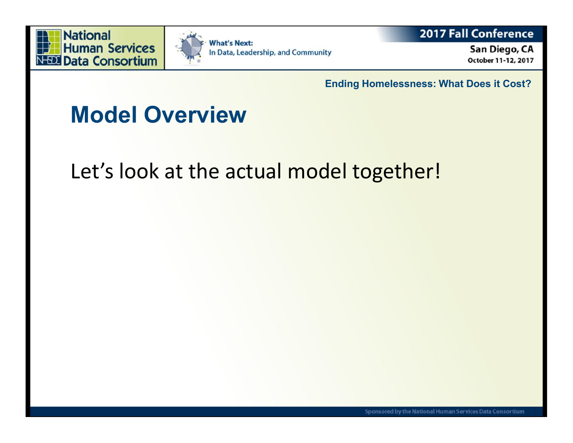



**2017 Fall Conference** 

San Diego, CA October 11-12, 2017

**Ending Homelessness: What Does it Cost?**

# **Model Overview**

## Let's look at the actual model together!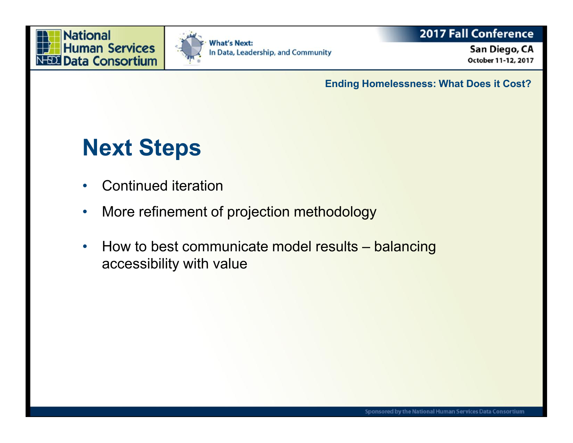



### **2017 Fall Conference**

San Diego, CA October 11-12, 2017

**Ending Homelessness: What Does it Cost?**

## **Next Steps**

- Continued iteration
- More refinement of projection methodology
- How to best communicate model results balancing accessibility with value